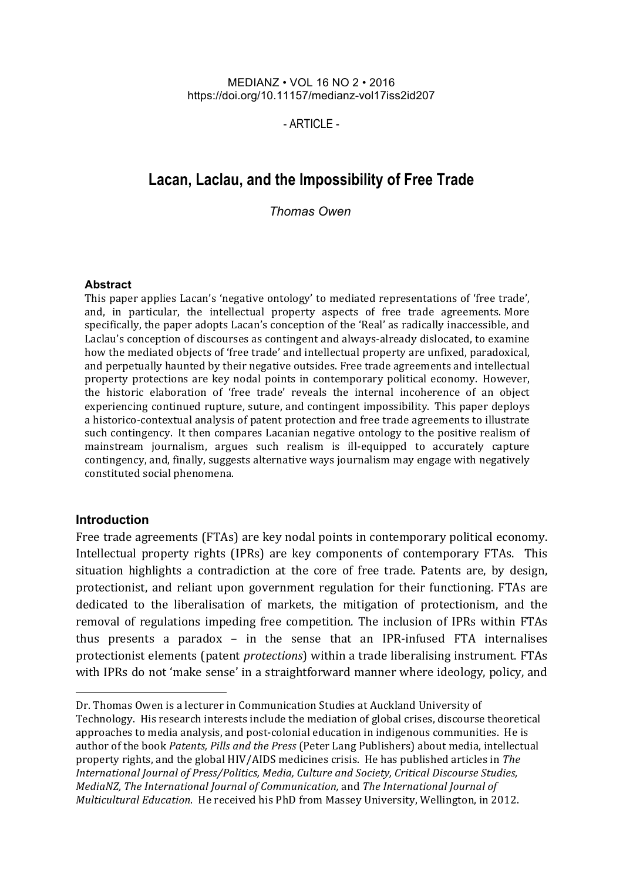MEDIANZ • VOL 16 NO 2 • 2016 https://doi.org/10.11157/medianz-vol17iss2id207

 $-$  ARTICLE  $-$ 

# **Lacan, Laclau, and the Impossibility of Free Trade**

*Thomas Owen*

#### **Abstract**

This paper applies Lacan's 'negative ontology' to mediated representations of 'free trade', and, in particular, the intellectual property aspects of free trade agreements. More specifically, the paper adopts Lacan's conception of the 'Real' as radically inaccessible, and Laclau's conception of discourses as contingent and always-already dislocated, to examine how the mediated objects of 'free trade' and intellectual property are unfixed, paradoxical, and perpetually haunted by their negative outsides. Free trade agreements and intellectual property protections are key nodal points in contemporary political economy. However, the historic elaboration of 'free trade' reveals the internal incoherence of an object experiencing continued rupture, suture, and contingent impossibility. This paper deploys a historico-contextual analysis of patent protection and free trade agreements to illustrate such contingency. It then compares Lacanian negative ontology to the positive realism of mainstream journalism, argues such realism is ill-equipped to accurately capture contingency, and, finally, suggests alternative ways journalism may engage with negatively constituted social phenomena.

#### **Introduction**

 

Free trade agreements (FTAs) are key nodal points in contemporary political economy. Intellectual property rights (IPRs) are key components of contemporary FTAs. This situation highlights a contradiction at the core of free trade. Patents are, by design, protectionist, and reliant upon government regulation for their functioning. FTAs are dedicated to the liberalisation of markets, the mitigation of protectionism, and the removal of regulations impeding free competition. The inclusion of IPRs within FTAs thus presents a paradox  $-$  in the sense that an IPR-infused FTA internalises protectionist elements (patent *protections*) within a trade liberalising instrument. FTAs with IPRs do not 'make sense' in a straightforward manner where ideology, policy, and

Dr. Thomas Owen is a lecturer in Communication Studies at Auckland University of Technology. His research interests include the mediation of global crises, discourse theoretical approaches to media analysis, and post-colonial education in indigenous communities. He is author of the book *Patents, Pills and the Press* (Peter Lang Publishers) about media, intellectual property rights, and the global HIV/AIDS medicines crisis. He has published articles in *The International Journal of Press/Politics, Media, Culture and Society, Critical Discourse Studies, MediaNZ. The International Iournal of Communication, and The International Iournal of Multicultural Education*. He received his PhD from Massey University, Wellington, in 2012.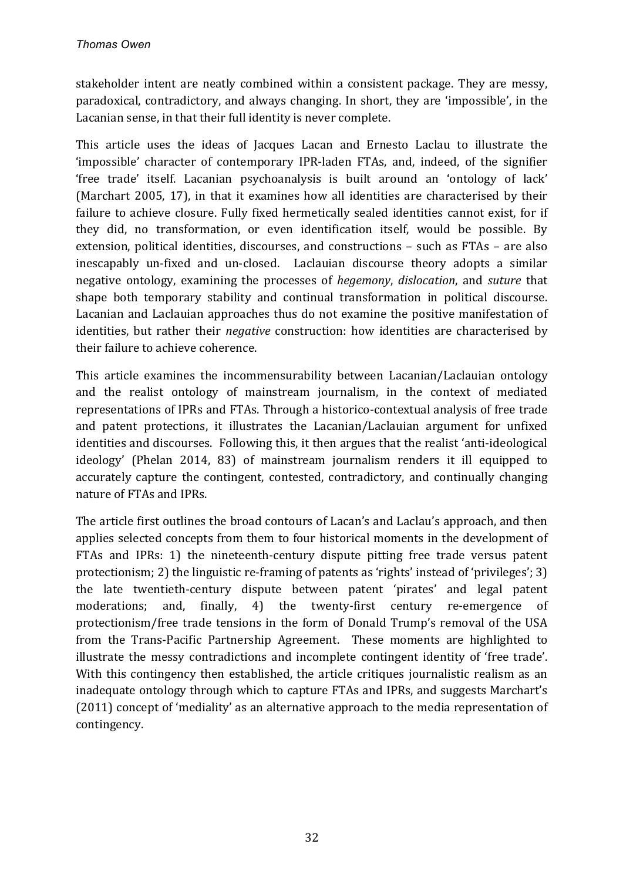stakeholder intent are neatly combined within a consistent package. They are messy, paradoxical, contradictory, and always changing. In short, they are 'impossible', in the Lacanian sense, in that their full identity is never complete.

This article uses the ideas of Jacques Lacan and Ernesto Laclau to illustrate the 'impossible' character of contemporary IPR-laden FTAs, and, indeed, of the signifier 'free trade' itself. Lacanian psychoanalysis is built around an 'ontology of lack' (Marchart 2005, 17), in that it examines how all identities are characterised by their failure to achieve closure. Fully fixed hermetically sealed identities cannot exist, for if they did, no transformation, or even identification itself, would be possible. By extension, political identities, discourses, and constructions – such as FTAs – are also inescapably un-fixed and un-closed. Laclauian discourse theory adopts a similar negative ontology, examining the processes of *hegemony*, *dislocation*, and *suture* that shape both temporary stability and continual transformation in political discourse. Lacanian and Laclauian approaches thus do not examine the positive manifestation of identities, but rather their *negative* construction: how identities are characterised by their failure to achieve coherence.

This article examines the incommensurability between Lacanian/Laclauian ontology and the realist ontology of mainstream journalism, in the context of mediated representations of IPRs and FTAs. Through a historico-contextual analysis of free trade and patent protections, it illustrates the Lacanian/Laclauian argument for unfixed identities and discourses. Following this, it then argues that the realist 'anti-ideological ideology' (Phelan 2014, 83) of mainstream journalism renders it ill equipped to accurately capture the contingent, contested, contradictory, and continually changing nature of FTAs and IPRs.

The article first outlines the broad contours of Lacan's and Laclau's approach, and then applies selected concepts from them to four historical moments in the development of FTAs and IPRs: 1) the nineteenth-century dispute pitting free trade versus patent protectionism; 2) the linguistic re-framing of patents as 'rights' instead of 'privileges';  $3$ ) the late twentieth-century dispute between patent 'pirates' and legal patent moderations; and, finally, 4) the twenty-first century re-emergence of protectionism/free trade tensions in the form of Donald Trump's removal of the USA from the Trans-Pacific Partnership Agreement. These moments are highlighted to illustrate the messy contradictions and incomplete contingent identity of 'free trade'. With this contingency then established, the article critiques journalistic realism as an inadequate ontology through which to capture FTAs and IPRs, and suggests Marchart's (2011) concept of 'mediality' as an alternative approach to the media representation of contingency.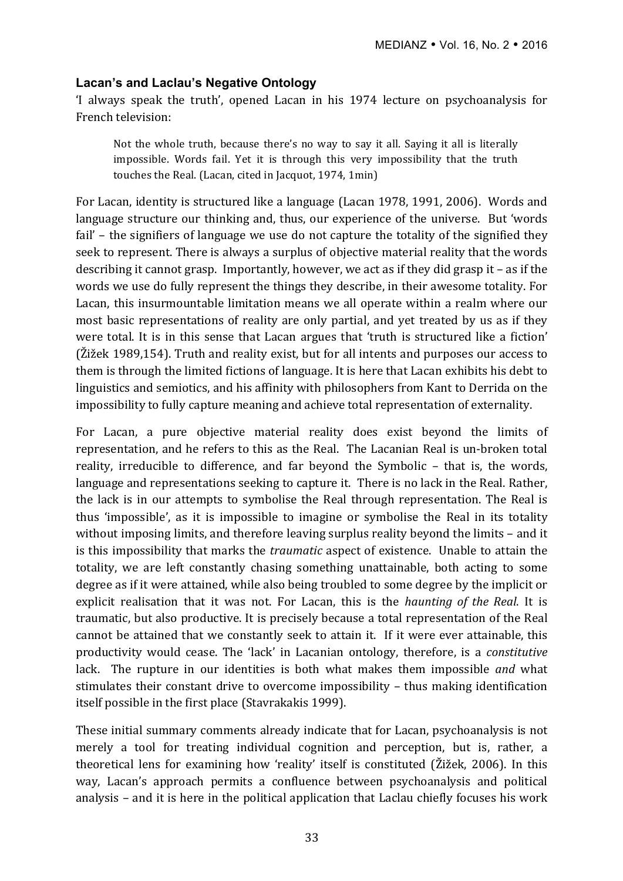### **Lacan's and Laclau's Negative Ontology**

'I always speak the truth', opened Lacan in his 1974 lecture on psychoanalysis for French television:

Not the whole truth, because there's no way to say it all. Saying it all is literally impossible. Words fail. Yet it is through this very impossibility that the truth touches the Real. (Lacan, cited in Jacquot, 1974, 1min)

For Lacan, identity is structured like a language (Lacan 1978, 1991, 2006). Words and language structure our thinking and, thus, our experience of the universe. But 'words fail' – the signifiers of language we use do not capture the totality of the signified they seek to represent. There is always a surplus of objective material reality that the words describing it cannot grasp. Importantly, however, we act as if they did grasp it  $-$  as if the words we use do fully represent the things they describe, in their awesome totality. For Lacan, this insurmountable limitation means we all operate within a realm where our most basic representations of reality are only partial, and yet treated by us as if they were total. It is in this sense that Lacan argues that 'truth is structured like a fiction'  $(\tilde{Z}$ ižek 1989,154). Truth and reality exist, but for all intents and purposes our access to them is through the limited fictions of language. It is here that Lacan exhibits his debt to linguistics and semiotics, and his affinity with philosophers from Kant to Derrida on the impossibility to fully capture meaning and achieve total representation of externality.

For Lacan, a pure objective material reality does exist beyond the limits of representation, and he refers to this as the Real. The Lacanian Real is un-broken total reality, irreducible to difference, and far beyond the Symbolic – that is, the words, language and representations seeking to capture it. There is no lack in the Real. Rather, the lack is in our attempts to symbolise the Real through representation. The Real is thus 'impossible', as it is impossible to imagine or symbolise the Real in its totality without imposing limits, and therefore leaving surplus reality beyond the limits – and it is this impossibility that marks the *traumatic* aspect of existence. Unable to attain the totality, we are left constantly chasing something unattainable, both acting to some degree as if it were attained, while also being troubled to some degree by the implicit or explicit realisation that it was not. For Lacan, this is the *haunting of the Real*. It is traumatic, but also productive. It is precisely because a total representation of the Real cannot be attained that we constantly seek to attain it. If it were ever attainable, this productivity would cease. The 'lack' in Lacanian ontology, therefore, is a *constitutive* lack. The rupture in our identities is both what makes them impossible *and* what stimulates their constant drive to overcome impossibility - thus making identification itself possible in the first place (Stavrakakis 1999).

These initial summary comments already indicate that for Lacan, psychoanalysis is not merely a tool for treating individual cognition and perception, but is, rather, a theoretical lens for examining how 'reality' itself is constituted (Žižek, 2006). In this way, Lacan's approach permits a confluence between psychoanalysis and political analysis – and it is here in the political application that Laclau chiefly focuses his work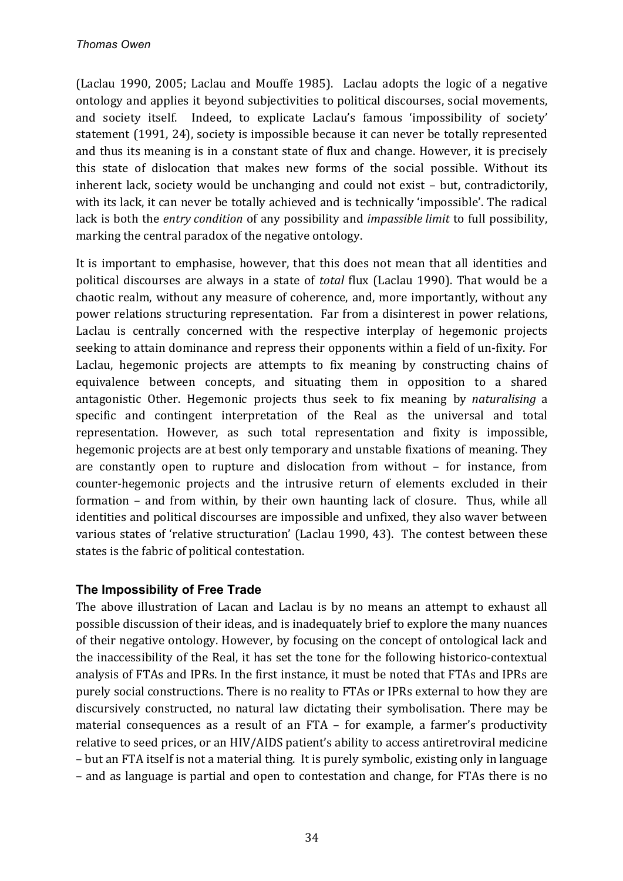(Laclau 1990, 2005; Laclau and Mouffe 1985). Laclau adopts the logic of a negative ontology and applies it beyond subjectivities to political discourses, social movements, and society itself. Indeed, to explicate Laclau's famous 'impossibility of society' statement (1991, 24), society is impossible because it can never be totally represented and thus its meaning is in a constant state of flux and change. However, it is precisely this state of dislocation that makes new forms of the social possible. Without its inherent lack, society would be unchanging and could not exist - but, contradictorily, with its lack, it can never be totally achieved and is technically 'impossible'. The radical lack is both the *entry condition* of any possibility and *impassible limit* to full possibility, marking the central paradox of the negative ontology.

It is important to emphasise, however, that this does not mean that all identities and political discourses are always in a state of *total* flux (Laclau 1990). That would be a chaotic realm, without any measure of coherence, and, more importantly, without any power relations structuring representation. Far from a disinterest in power relations, Laclau is centrally concerned with the respective interplay of hegemonic projects seeking to attain dominance and repress their opponents within a field of un-fixity. For Laclau, hegemonic projects are attempts to fix meaning by constructing chains of equivalence between concepts, and situating them in opposition to a shared antagonistic Other. Hegemonic projects thus seek to fix meaning by *naturalising* a specific and contingent interpretation of the Real as the universal and total representation. However, as such total representation and fixity is impossible, hegemonic projects are at best only temporary and unstable fixations of meaning. They are constantly open to rupture and dislocation from without  $-$  for instance, from counter-hegemonic projects and the intrusive return of elements excluded in their formation  $-$  and from within, by their own haunting lack of closure. Thus, while all identities and political discourses are impossible and unfixed, they also waver between various states of 'relative structuration' (Laclau 1990, 43). The contest between these states is the fabric of political contestation.

# **The Impossibility of Free Trade**

The above illustration of Lacan and Laclau is by no means an attempt to exhaust all possible discussion of their ideas, and is inadequately brief to explore the many nuances of their negative ontology. However, by focusing on the concept of ontological lack and the inaccessibility of the Real, it has set the tone for the following historico-contextual analysis of FTAs and IPRs. In the first instance, it must be noted that FTAs and IPRs are purely social constructions. There is no reality to FTAs or IPRs external to how they are discursively constructed, no natural law dictating their symbolisation. There may be material consequences as a result of an FTA  $-$  for example, a farmer's productivity relative to seed prices, or an HIV/AIDS patient's ability to access antiretroviral medicine – but an FTA itself is not a material thing. It is purely symbolic, existing only in language – and as language is partial and open to contestation and change, for FTAs there is no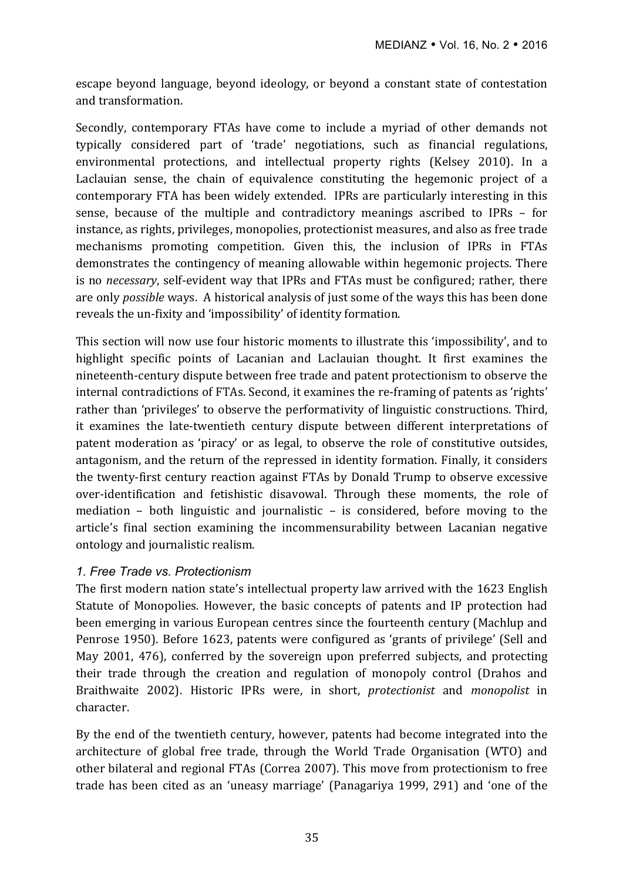escape beyond language, beyond ideology, or beyond a constant state of contestation and transformation.

Secondly, contemporary FTAs have come to include a myriad of other demands not typically considered part of 'trade' negotiations, such as financial regulations, environmental protections, and intellectual property rights (Kelsey 2010). In a Laclauian sense, the chain of equivalence constituting the hegemonic project of a contemporary FTA has been widely extended. IPRs are particularly interesting in this sense, because of the multiple and contradictory meanings ascribed to IPRs – for instance, as rights, privileges, monopolies, protectionist measures, and also as free trade mechanisms promoting competition. Given this, the inclusion of IPRs in FTAs demonstrates the contingency of meaning allowable within hegemonic projects. There is no *necessary*, self-evident way that IPRs and FTAs must be configured; rather, there are only *possible* ways. A historical analysis of just some of the ways this has been done reveals the un-fixity and 'impossibility' of identity formation.

This section will now use four historic moments to illustrate this 'impossibility', and to highlight specific points of Lacanian and Laclauian thought. It first examines the nineteenth-century dispute between free trade and patent protectionism to observe the internal contradictions of FTAs. Second, it examines the re-framing of patents as 'rights' rather than 'privileges' to observe the performativity of linguistic constructions. Third, it examines the late-twentieth century dispute between different interpretations of patent moderation as 'piracy' or as legal, to observe the role of constitutive outsides, antagonism, and the return of the repressed in identity formation. Finally, it considers the twenty-first century reaction against FTAs by Donald Trump to observe excessive over-identification and fetishistic disavowal. Through these moments, the role of mediation – both linguistic and journalistic – is considered, before moving to the article's final section examining the incommensurability between Lacanian negative ontology and journalistic realism.

### *1. Free Trade vs. Protectionism*

The first modern nation state's intellectual property law arrived with the 1623 English Statute of Monopolies. However, the basic concepts of patents and IP protection had been emerging in various European centres since the fourteenth century (Machlup and Penrose 1950). Before 1623, patents were configured as 'grants of privilege' (Sell and May 2001, 476), conferred by the sovereign upon preferred subjects, and protecting their trade through the creation and regulation of monopoly control (Drahos and Braithwaite 2002). Historic IPRs were, in short, *protectionist* and *monopolist* in character.

By the end of the twentieth century, however, patents had become integrated into the architecture of global free trade, through the World Trade Organisation (WTO) and other bilateral and regional FTAs (Correa 2007). This move from protectionism to free trade has been cited as an 'uneasy marriage' (Panagariya 1999, 291) and 'one of the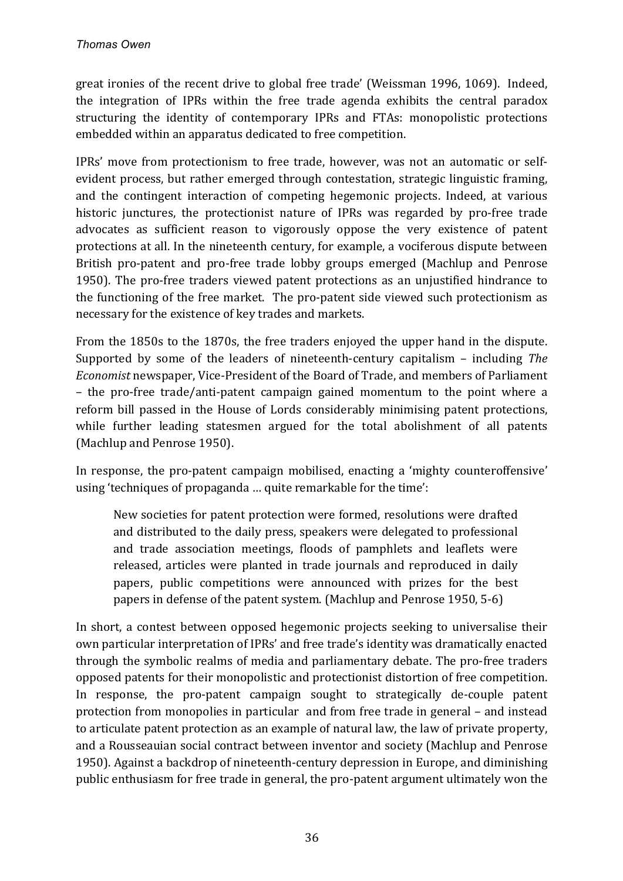great ironies of the recent drive to global free trade' (Weissman 1996, 1069). Indeed, the integration of IPRs within the free trade agenda exhibits the central paradox structuring the identity of contemporary IPRs and FTAs: monopolistic protections embedded within an apparatus dedicated to free competition.

IPRs' move from protectionism to free trade, however, was not an automatic or selfevident process, but rather emerged through contestation, strategic linguistic framing, and the contingent interaction of competing hegemonic projects. Indeed, at various historic iunctures, the protectionist nature of IPRs was regarded by pro-free trade advocates as sufficient reason to vigorously oppose the very existence of patent protections at all. In the nineteenth century, for example, a vociferous dispute between British pro-patent and pro-free trade lobby groups emerged (Machlup and Penrose 1950). The pro-free traders viewed patent protections as an unjustified hindrance to the functioning of the free market. The pro-patent side viewed such protectionism as necessary for the existence of key trades and markets.

From the 1850s to the 1870s, the free traders enjoyed the upper hand in the dispute. Supported by some of the leaders of nineteenth-century capitalism – including *The Economist* newspaper, Vice-President of the Board of Trade, and members of Parliament – the pro-free trade/anti-patent campaign gained momentum to the point where a reform bill passed in the House of Lords considerably minimising patent protections, while further leading statesmen argued for the total abolishment of all patents (Machlup and Penrose 1950).

In response, the pro-patent campaign mobilised, enacting a 'mighty counteroffensive' using 'techniques of propaganda ... quite remarkable for the time':

New societies for patent protection were formed, resolutions were drafted and distributed to the daily press, speakers were delegated to professional and trade association meetings, floods of pamphlets and leaflets were released, articles were planted in trade journals and reproduced in daily papers, public competitions were announced with prizes for the best papers in defense of the patent system. (Machlup and Penrose 1950, 5-6)

In short, a contest between opposed hegemonic projects seeking to universalise their own particular interpretation of IPRs' and free trade's identity was dramatically enacted through the symbolic realms of media and parliamentary debate. The pro-free traders opposed patents for their monopolistic and protectionist distortion of free competition. In response, the pro-patent campaign sought to strategically de-couple patent protection from monopolies in particular and from free trade in general – and instead to articulate patent protection as an example of natural law, the law of private property, and a Rousseauian social contract between inventor and society (Machlup and Penrose 1950). Against a backdrop of nineteenth-century depression in Europe, and diminishing public enthusiasm for free trade in general, the pro-patent argument ultimately won the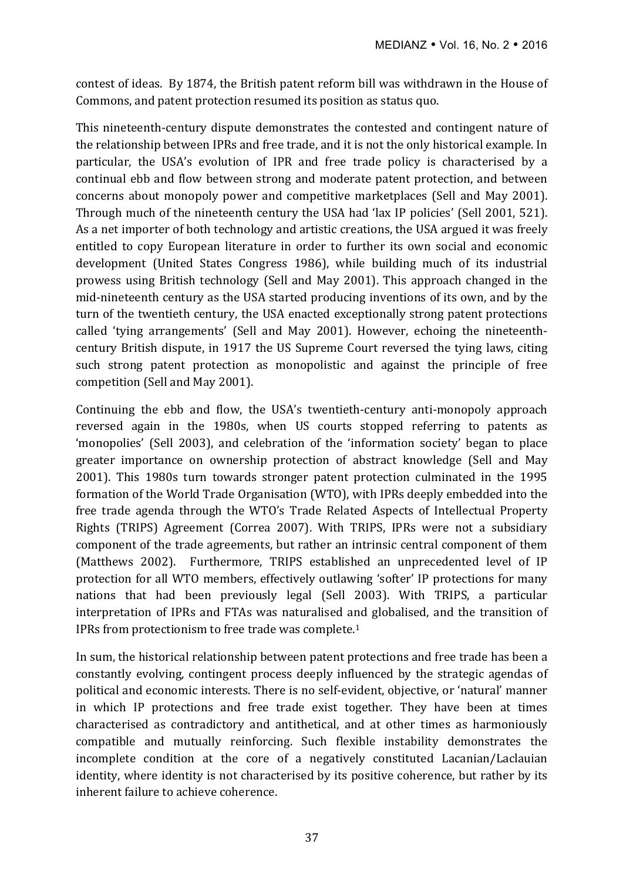contest of ideas. By 1874, the British patent reform bill was withdrawn in the House of Commons, and patent protection resumed its position as status quo.

This nineteenth-century dispute demonstrates the contested and contingent nature of the relationship between IPRs and free trade, and it is not the only historical example. In particular, the USA's evolution of IPR and free trade policy is characterised by a continual ebb and flow between strong and moderate patent protection, and between concerns about monopoly power and competitive marketplaces (Sell and May 2001). Through much of the nineteenth century the USA had 'lax IP policies' (Sell 2001, 521). As a net importer of both technology and artistic creations, the USA argued it was freely entitled to copy European literature in order to further its own social and economic development (United States Congress 1986), while building much of its industrial prowess using British technology (Sell and May 2001). This approach changed in the mid-nineteenth century as the USA started producing inventions of its own, and by the turn of the twentieth century, the USA enacted exceptionally strong patent protections called 'tying arrangements' (Sell and May 2001). However, echoing the nineteenthcentury British dispute, in 1917 the US Supreme Court reversed the tying laws, citing such strong patent protection as monopolistic and against the principle of free competition (Sell and May 2001).

Continuing the ebb and flow, the USA's twentieth-century anti-monopoly approach reversed again in the 1980s, when US courts stopped referring to patents as 'monopolies' (Sell 2003), and celebration of the 'information society' began to place greater importance on ownership protection of abstract knowledge (Sell and May 2001). This 1980s turn towards stronger patent protection culminated in the 1995 formation of the World Trade Organisation (WTO), with IPRs deeply embedded into the free trade agenda through the WTO's Trade Related Aspects of Intellectual Property Rights (TRIPS) Agreement (Correa 2007). With TRIPS, IPRs were not a subsidiary component of the trade agreements, but rather an intrinsic central component of them (Matthews 2002). Furthermore, TRIPS established an unprecedented level of IP protection for all WTO members, effectively outlawing 'softer' IP protections for many nations that had been previously legal (Sell 2003). With TRIPS, a particular interpretation of IPRs and FTAs was naturalised and globalised, and the transition of IPRs from protectionism to free trade was complete.<sup>1</sup>

In sum, the historical relationship between patent protections and free trade has been a constantly evolving, contingent process deeply influenced by the strategic agendas of political and economic interests. There is no self-evident, objective, or 'natural' manner in which IP protections and free trade exist together. They have been at times characterised as contradictory and antithetical, and at other times as harmoniously compatible and mutually reinforcing. Such flexible instability demonstrates the incomplete condition at the core of a negatively constituted Lacanian/Laclauian identity, where identity is not characterised by its positive coherence, but rather by its inherent failure to achieve coherence.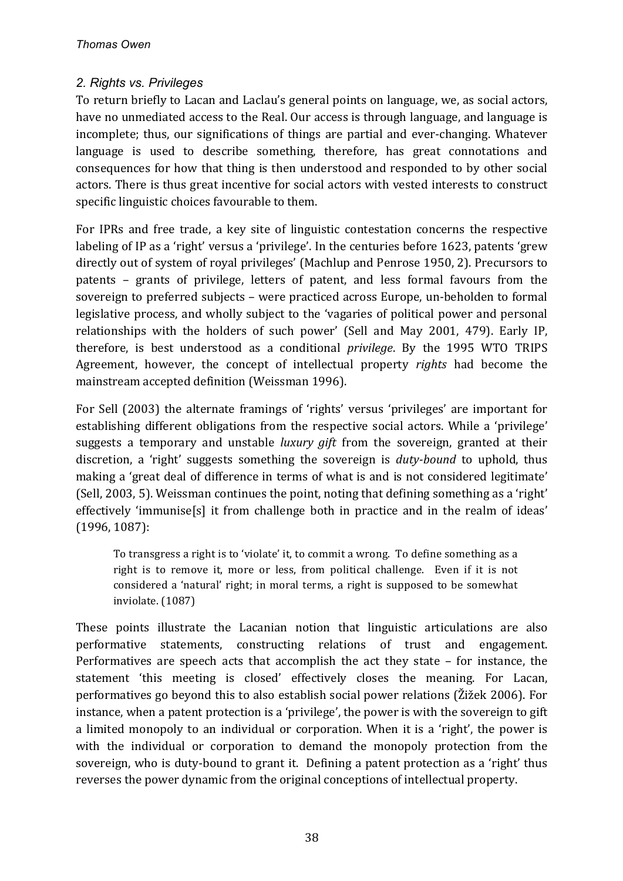## *2. Rights vs. Privileges*

To return briefly to Lacan and Laclau's general points on language, we, as social actors, have no unmediated access to the Real. Our access is through language, and language is incomplete; thus, our significations of things are partial and ever-changing. Whatever language is used to describe something, therefore, has great connotations and consequences for how that thing is then understood and responded to by other social actors. There is thus great incentive for social actors with vested interests to construct specific linguistic choices favourable to them.

For IPRs and free trade, a key site of linguistic contestation concerns the respective labeling of IP as a 'right' versus a 'privilege'. In the centuries before 1623, patents 'grew directly out of system of royal privileges' (Machlup and Penrose 1950, 2). Precursors to patents – grants of privilege, letters of patent, and less formal favours from the sovereign to preferred subjects – were practiced across Europe, un-beholden to formal legislative process, and wholly subject to the 'vagaries of political power and personal relationships with the holders of such power' (Sell and May 2001, 479). Early IP, therefore, is best understood as a conditional *privilege*. By the 1995 WTO TRIPS Agreement, however, the concept of intellectual property *rights* had become the mainstream accepted definition (Weissman 1996).

For Sell (2003) the alternate framings of 'rights' versus 'privileges' are important for establishing different obligations from the respective social actors. While a 'privilege' suggests a temporary and unstable *luxury gift* from the sovereign, granted at their discretion, a 'right' suggests something the sovereign is *duty-bound* to uphold, thus making a 'great deal of difference in terms of what is and is not considered legitimate' (Sell, 2003, 5). Weissman continues the point, noting that defining something as a 'right' effectively 'immunise[s] it from challenge both in practice and in the realm of ideas'  $(1996, 1087)$ :

To transgress a right is to 'violate' it, to commit a wrong. To define something as a right is to remove it, more or less, from political challenge. Even if it is not considered a 'natural' right; in moral terms, a right is supposed to be somewhat inviolate. (1087)

These points illustrate the Lacanian notion that linguistic articulations are also performative statements, constructing relations of trust and engagement. Performatives are speech acts that accomplish the act they state  $-$  for instance, the statement 'this meeting is closed' effectively closes the meaning. For Lacan, performatives go beyond this to also establish social power relations (Žižek 2006). For instance, when a patent protection is a 'privilege', the power is with the sovereign to gift a limited monopoly to an individual or corporation. When it is a 'right', the power is with the individual or corporation to demand the monopoly protection from the sovereign, who is duty-bound to grant it. Defining a patent protection as a 'right' thus reverses the power dynamic from the original conceptions of intellectual property.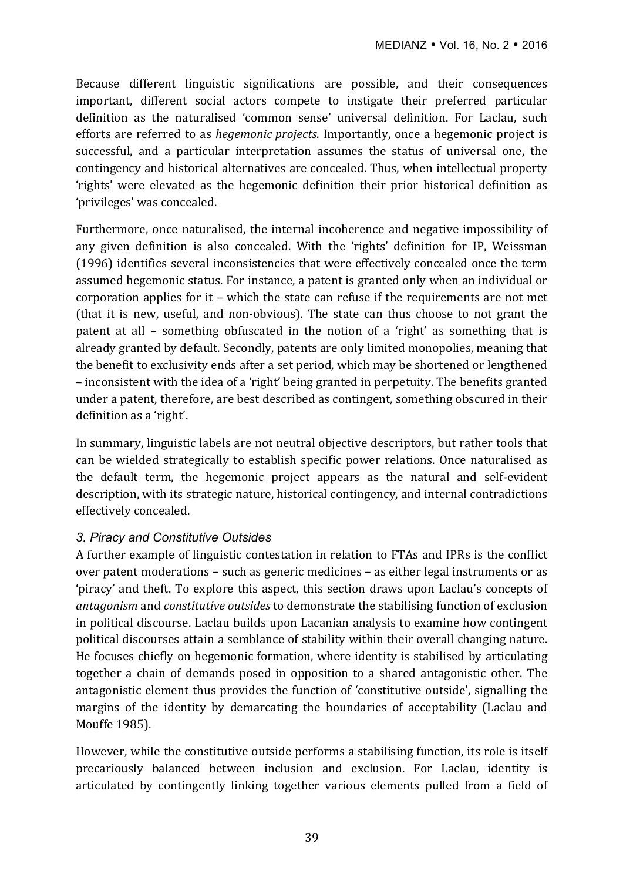Because different linguistic significations are possible, and their consequences important, different social actors compete to instigate their preferred particular definition as the naturalised 'common sense' universal definition. For Laclau, such efforts are referred to as *hegemonic projects*. Importantly, once a hegemonic project is successful, and a particular interpretation assumes the status of universal one, the contingency and historical alternatives are concealed. Thus, when intellectual property 'rights' were elevated as the hegemonic definition their prior historical definition as 'privileges' was concealed.

Furthermore, once naturalised, the internal incoherence and negative impossibility of any given definition is also concealed. With the 'rights' definition for IP, Weissman (1996) identifies several inconsistencies that were effectively concealed once the term assumed hegemonic status. For instance, a patent is granted only when an individual or corporation applies for it – which the state can refuse if the requirements are not met (that it is new, useful, and non-obvious). The state can thus choose to not grant the patent at all – something obfuscated in the notion of a 'right' as something that is already granted by default. Secondly, patents are only limited monopolies, meaning that the benefit to exclusivity ends after a set period, which may be shortened or lengthened – inconsistent with the idea of a 'right' being granted in perpetuity. The benefits granted under a patent, therefore, are best described as contingent, something obscured in their definition as a 'right'.

In summary, linguistic labels are not neutral objective descriptors, but rather tools that can be wielded strategically to establish specific power relations. Once naturalised as the default term, the hegemonic project appears as the natural and self-evident description, with its strategic nature, historical contingency, and internal contradictions effectively concealed.

### *3. Piracy and Constitutive Outsides*

A further example of linguistic contestation in relation to FTAs and IPRs is the conflict over patent moderations – such as generic medicines – as either legal instruments or as 'piracy' and theft. To explore this aspect, this section draws upon Laclau's concepts of *antagonism* and *constitutive outsides* to demonstrate the stabilising function of exclusion in political discourse. Laclau builds upon Lacanian analysis to examine how contingent political discourses attain a semblance of stability within their overall changing nature. He focuses chiefly on hegemonic formation, where identity is stabilised by articulating together a chain of demands posed in opposition to a shared antagonistic other. The antagonistic element thus provides the function of 'constitutive outside', signalling the margins of the identity by demarcating the boundaries of acceptability (Laclau and Mouffe 1985).

However, while the constitutive outside performs a stabilising function, its role is itself precariously balanced between inclusion and exclusion. For Laclau, identity is articulated by contingently linking together various elements pulled from a field of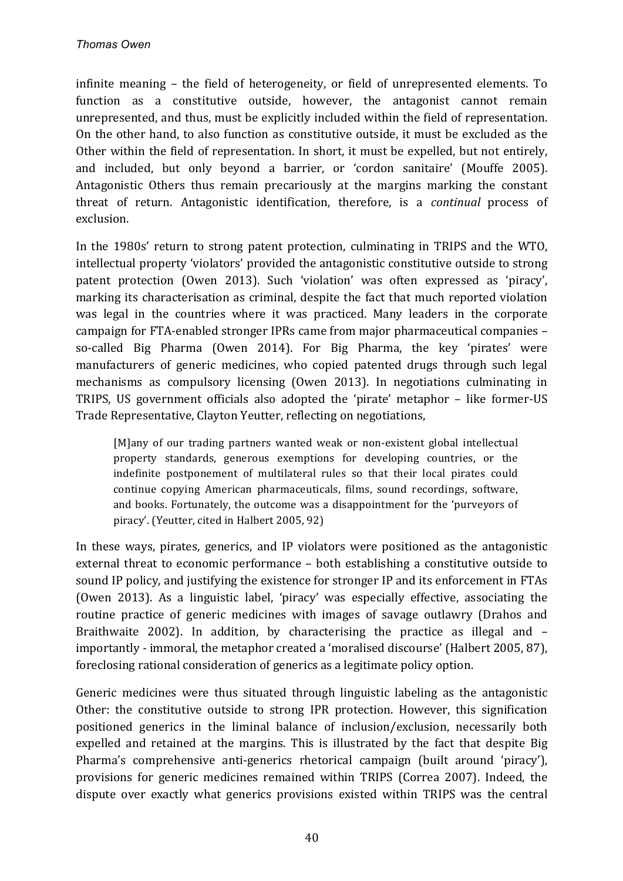infinite meaning – the field of heterogeneity, or field of unrepresented elements. To function as a constitutive outside, however, the antagonist cannot remain unrepresented, and thus, must be explicitly included within the field of representation. On the other hand, to also function as constitutive outside, it must be excluded as the Other within the field of representation. In short, it must be expelled, but not entirely, and included, but only beyond a barrier, or 'cordon sanitaire' (Mouffe 2005). Antagonistic Others thus remain precariously at the margins marking the constant threat of return. Antagonistic identification, therefore, is a *continual* process of exclusion.

In the 1980s' return to strong patent protection, culminating in TRIPS and the WTO. intellectual property 'violators' provided the antagonistic constitutive outside to strong patent protection (Owen 2013). Such 'violation' was often expressed as 'piracy', marking its characterisation as criminal, despite the fact that much reported violation was legal in the countries where it was practiced. Many leaders in the corporate campaign for FTA-enabled stronger IPRs came from major pharmaceutical companies – so-called Big Pharma (Owen 2014). For Big Pharma, the key 'pirates' were manufacturers of generic medicines, who copied patented drugs through such legal mechanisms as compulsory licensing (Owen 2013). In negotiations culminating in TRIPS, US government officials also adopted the 'pirate' metaphor – like former-US Trade Representative, Clayton Yeutter, reflecting on negotiations,

[M]any of our trading partners wanted weak or non-existent global intellectual property standards, generous exemptions for developing countries, or the indefinite postponement of multilateral rules so that their local pirates could continue copying American pharmaceuticals, films, sound recordings, software, and books. Fortunately, the outcome was a disappointment for the 'purveyors of piracy'. (Yeutter, cited in Halbert 2005, 92)

In these ways, pirates, generics, and IP violators were positioned as the antagonistic external threat to economic performance - both establishing a constitutive outside to sound IP policy, and justifying the existence for stronger IP and its enforcement in FTAs (Owen 2013). As a linguistic label, 'piracy' was especially effective, associating the routine practice of generic medicines with images of savage outlawry (Drahos and Braithwaite 2002). In addition, by characterising the practice as illegal and  $$ importantly - immoral, the metaphor created a 'moralised discourse' (Halbert 2005, 87), foreclosing rational consideration of generics as a legitimate policy option.

Generic medicines were thus situated through linguistic labeling as the antagonistic Other: the constitutive outside to strong IPR protection. However, this signification positioned generics in the liminal balance of inclusion/exclusion, necessarily both expelled and retained at the margins. This is illustrated by the fact that despite Big Pharma's comprehensive anti-generics rhetorical campaign (built around 'piracy'), provisions for generic medicines remained within TRIPS (Correa 2007). Indeed, the dispute over exactly what generics provisions existed within TRIPS was the central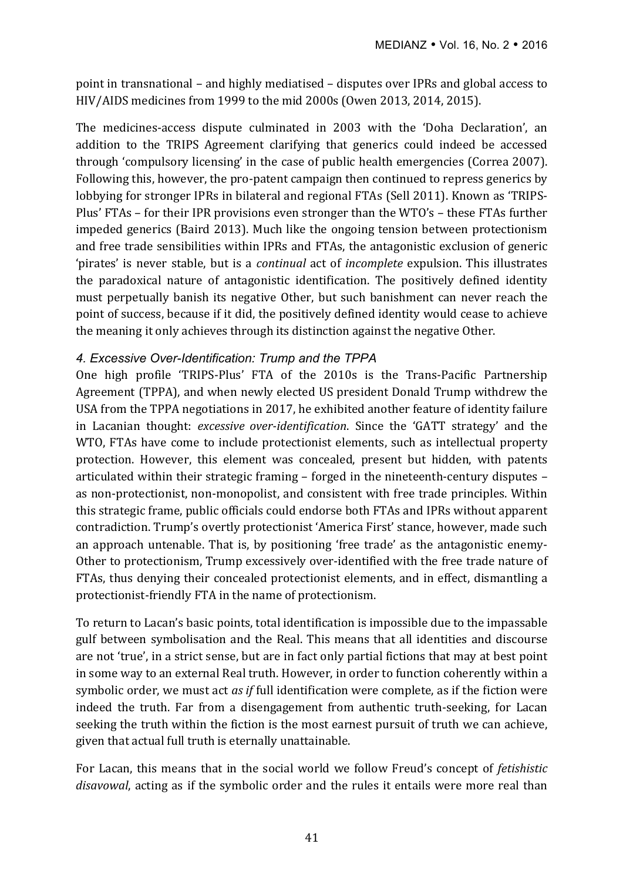point in transnational – and highly mediatised – disputes over IPRs and global access to HIV/AIDS medicines from 1999 to the mid 2000s (Owen 2013, 2014, 2015).

The medicines-access dispute culminated in 2003 with the 'Doha Declaration', an addition to the TRIPS Agreement clarifying that generics could indeed be accessed through 'compulsory licensing' in the case of public health emergencies (Correa 2007). Following this, however, the pro-patent campaign then continued to repress generics by lobbying for stronger IPRs in bilateral and regional FTAs (Sell 2011). Known as 'TRIPS-Plus' FTAs – for their IPR provisions even stronger than the WTO's – these FTAs further impeded generics (Baird 2013). Much like the ongoing tension between protectionism and free trade sensibilities within IPRs and FTAs, the antagonistic exclusion of generic 'pirates' is never stable, but is a *continual* act of *incomplete* expulsion. This illustrates the paradoxical nature of antagonistic identification. The positively defined identity must perpetually banish its negative Other, but such banishment can never reach the point of success, because if it did, the positively defined identity would cease to achieve the meaning it only achieves through its distinction against the negative Other.

### *4. Excessive Over-Identification: Trump and the TPPA*

One high profile 'TRIPS-Plus' FTA of the 2010s is the Trans-Pacific Partnership Agreement (TPPA), and when newly elected US president Donald Trump withdrew the USA from the TPPA negotiations in 2017, he exhibited another feature of identity failure in Lacanian thought: *excessive over-identification*. Since the 'GATT strategy' and the WTO, FTAs have come to include protectionist elements, such as intellectual property protection. However, this element was concealed, present but hidden, with patents articulated within their strategic framing  $-$  forged in the nineteenth-century disputes  $$ as non-protectionist, non-monopolist, and consistent with free trade principles. Within this strategic frame, public officials could endorse both FTAs and IPRs without apparent contradiction. Trump's overtly protectionist 'America First' stance, however, made such an approach untenable. That is, by positioning 'free trade' as the antagonistic enemy-Other to protectionism, Trump excessively over-identified with the free trade nature of FTAs, thus denying their concealed protectionist elements, and in effect, dismantling a protectionist-friendly FTA in the name of protectionism.

To return to Lacan's basic points, total identification is impossible due to the impassable gulf between symbolisation and the Real. This means that all identities and discourse are not 'true', in a strict sense, but are in fact only partial fictions that may at best point in some way to an external Real truth. However, in order to function coherently within a symbolic order, we must act *as if* full identification were complete, as if the fiction were indeed the truth. Far from a disengagement from authentic truth-seeking, for Lacan seeking the truth within the fiction is the most earnest pursuit of truth we can achieve, given that actual full truth is eternally unattainable.

For Lacan, this means that in the social world we follow Freud's concept of *fetishistic disavowal*, acting as if the symbolic order and the rules it entails were more real than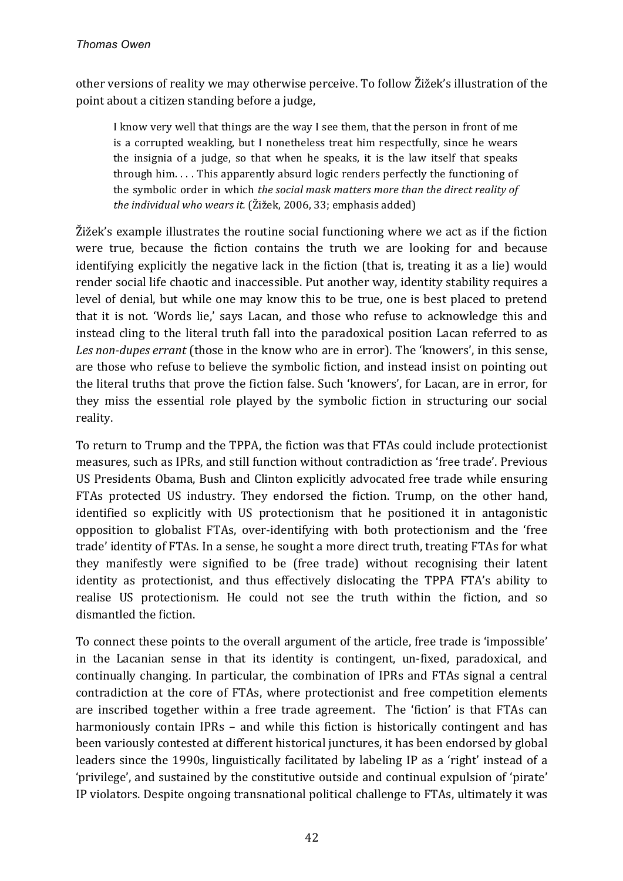other versions of reality we may otherwise perceive. To follow Žižek's illustration of the point about a citizen standing before a judge,

I know very well that things are the way I see them, that the person in front of me is a corrupted weakling, but I nonetheless treat him respectfully, since he wears the insignia of a judge, so that when he speaks, it is the law itself that speaks through him.... This apparently absurd logic renders perfectly the functioning of the symbolic order in which *the social mask matters more than the direct reality of* the *individual who wears it.* (Žižek, 2006, 33; emphasis added)

 $\tilde{Z}$ ižek's example illustrates the routine social functioning where we act as if the fiction were true, because the fiction contains the truth we are looking for and because identifying explicitly the negative lack in the fiction (that is, treating it as a lie) would render social life chaotic and inaccessible. Put another way, identity stability requires a level of denial, but while one may know this to be true, one is best placed to pretend that it is not. 'Words lie,' says Lacan, and those who refuse to acknowledge this and instead cling to the literal truth fall into the paradoxical position Lacan referred to as Les non-dupes errant (those in the know who are in error). The 'knowers', in this sense, are those who refuse to believe the symbolic fiction, and instead insist on pointing out the literal truths that prove the fiction false. Such 'knowers', for Lacan, are in error, for they miss the essential role played by the symbolic fiction in structuring our social reality.

To return to Trump and the TPPA, the fiction was that FTAs could include protectionist measures, such as IPRs, and still function without contradiction as 'free trade'. Previous US Presidents Obama, Bush and Clinton explicitly advocated free trade while ensuring FTAs protected US industry. They endorsed the fiction. Trump, on the other hand, identified so explicitly with US protectionism that he positioned it in antagonistic opposition to globalist FTAs, over-identifying with both protectionism and the 'free trade' identity of FTAs. In a sense, he sought a more direct truth, treating FTAs for what they manifestly were signified to be (free trade) without recognising their latent identity as protectionist, and thus effectively dislocating the TPPA FTA's ability to realise US protectionism. He could not see the truth within the fiction, and so dismantled the fiction.

To connect these points to the overall argument of the article, free trade is 'impossible' in the Lacanian sense in that its identity is contingent, un-fixed, paradoxical, and continually changing. In particular, the combination of IPRs and FTAs signal a central contradiction at the core of FTAs, where protectionist and free competition elements are inscribed together within a free trade agreement. The 'fiction' is that FTAs can harmoniously contain IPRs – and while this fiction is historically contingent and has been variously contested at different historical junctures, it has been endorsed by global leaders since the 1990s, linguistically facilitated by labeling IP as a 'right' instead of a 'privilege', and sustained by the constitutive outside and continual expulsion of 'pirate' IP violators. Despite ongoing transnational political challenge to FTAs, ultimately it was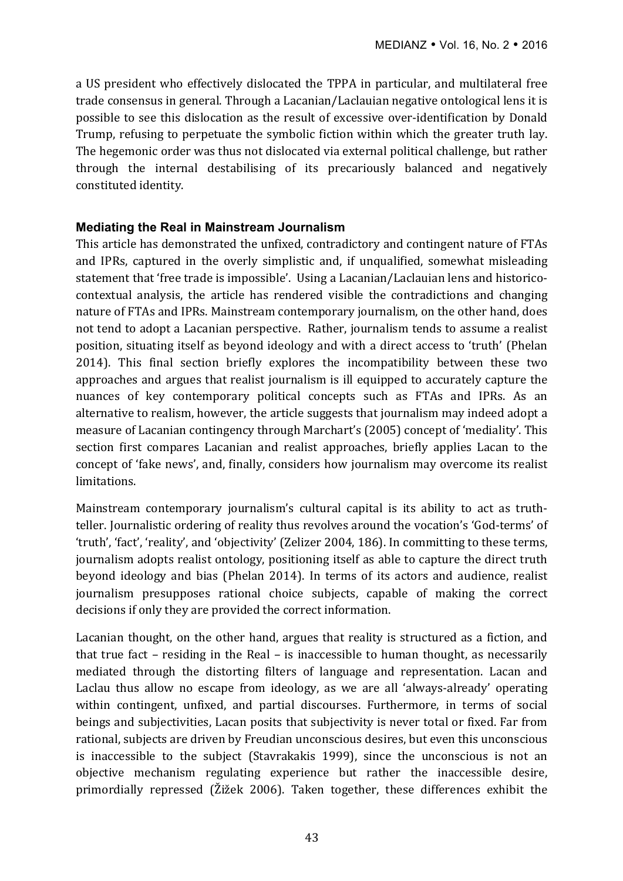a US president who effectively dislocated the TPPA in particular, and multilateral free trade consensus in general. Through a Lacanian/Laclauian negative ontological lens it is possible to see this dislocation as the result of excessive over-identification by Donald Trump, refusing to perpetuate the symbolic fiction within which the greater truth lay. The hegemonic order was thus not dislocated via external political challenge, but rather through the internal destabilising of its precariously balanced and negatively constituted identity.

#### **Mediating the Real in Mainstream Journalism**

This article has demonstrated the unfixed, contradictory and contingent nature of FTAs and IPRs, captured in the overly simplistic and, if unqualified, somewhat misleading statement that 'free trade is impossible'. Using a Lacanian/Laclauian lens and historicocontextual analysis, the article has rendered visible the contradictions and changing nature of FTAs and IPRs. Mainstream contemporary journalism, on the other hand, does not tend to adopt a Lacanian perspective. Rather, journalism tends to assume a realist position, situating itself as beyond ideology and with a direct access to 'truth' (Phelan 2014). This final section briefly explores the incompatibility between these two approaches and argues that realist journalism is ill equipped to accurately capture the nuances of key contemporary political concepts such as FTAs and IPRs. As an alternative to realism, however, the article suggests that journalism may indeed adopt a measure of Lacanian contingency through Marchart's (2005) concept of 'mediality'. This section first compares Lacanian and realist approaches, briefly applies Lacan to the concept of 'fake news', and, finally, considers how journalism may overcome its realist limitations. 

Mainstream contemporary journalism's cultural capital is its ability to act as truthteller. Journalistic ordering of reality thus revolves around the vocation's 'God-terms' of 'truth', 'fact', 'reality', and 'objectivity' (Zelizer 2004, 186). In committing to these terms, journalism adopts realist ontology, positioning itself as able to capture the direct truth beyond ideology and bias (Phelan 2014). In terms of its actors and audience, realist journalism presupposes rational choice subjects, capable of making the correct decisions if only they are provided the correct information.

Lacanian thought, on the other hand, argues that reality is structured as a fiction, and that true fact – residing in the Real – is inaccessible to human thought, as necessarily mediated through the distorting filters of language and representation. Lacan and Laclau thus allow no escape from ideology, as we are all 'always-already' operating within contingent, unfixed, and partial discourses. Furthermore, in terms of social beings and subjectivities, Lacan posits that subjectivity is never total or fixed. Far from rational, subjects are driven by Freudian unconscious desires, but even this unconscious is inaccessible to the subject (Stavrakakis 1999), since the unconscious is not an objective mechanism regulating experience but rather the inaccessible desire, primordially repressed (Žižek 2006). Taken together, these differences exhibit the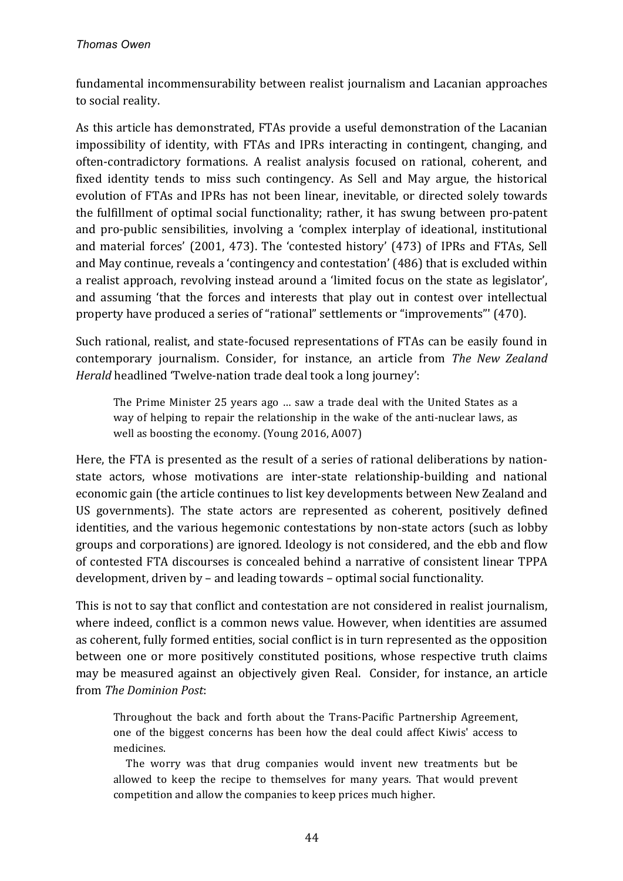fundamental incommensurability between realist journalism and Lacanian approaches to social reality.

As this article has demonstrated, FTAs provide a useful demonstration of the Lacanian impossibility of identity, with FTAs and IPRs interacting in contingent, changing, and often-contradictory formations. A realist analysis focused on rational, coherent, and fixed identity tends to miss such contingency. As Sell and May argue, the historical evolution of FTAs and IPRs has not been linear, inevitable, or directed solely towards the fulfillment of optimal social functionality; rather, it has swung between pro-patent and pro-public sensibilities, involving a 'complex interplay of ideational, institutional and material forces' (2001, 473). The 'contested history' (473) of IPRs and FTAs, Sell and May continue, reveals a 'contingency and contestation' (486) that is excluded within a realist approach, revolving instead around a 'limited focus on the state as legislator', and assuming 'that the forces and interests that play out in contest over intellectual property have produced a series of "rational" settlements or "improvements"' (470).

Such rational, realist, and state-focused representations of FTAs can be easily found in contemporary journalism. Consider, for instance, an article from *The New Zealand Herald* headlined 'Twelve-nation trade deal took a long journey':

The Prime Minister 25 years ago ... saw a trade deal with the United States as a way of helping to repair the relationship in the wake of the anti-nuclear laws, as well as boosting the economy. (Young 2016, A007)

Here, the FTA is presented as the result of a series of rational deliberations by nationstate actors, whose motivations are inter-state relationship-building and national economic gain (the article continues to list key developments between New Zealand and US governments). The state actors are represented as coherent, positively defined identities, and the various hegemonic contestations by non-state actors (such as lobby groups and corporations) are ignored. Ideology is not considered, and the ebb and flow of contested FTA discourses is concealed behind a narrative of consistent linear TPPA development, driven by  $-$  and leading towards  $-$  optimal social functionality.

This is not to say that conflict and contestation are not considered in realist journalism, where indeed, conflict is a common news value. However, when identities are assumed as coherent, fully formed entities, social conflict is in turn represented as the opposition between one or more positively constituted positions, whose respective truth claims may be measured against an objectively given Real. Consider, for instance, an article from *The Dominion Post*: 

Throughout the back and forth about the Trans-Pacific Partnership Agreement, one of the biggest concerns has been how the deal could affect Kiwis' access to medicines.

The worry was that drug companies would invent new treatments but be allowed to keep the recipe to themselves for many years. That would prevent competition and allow the companies to keep prices much higher.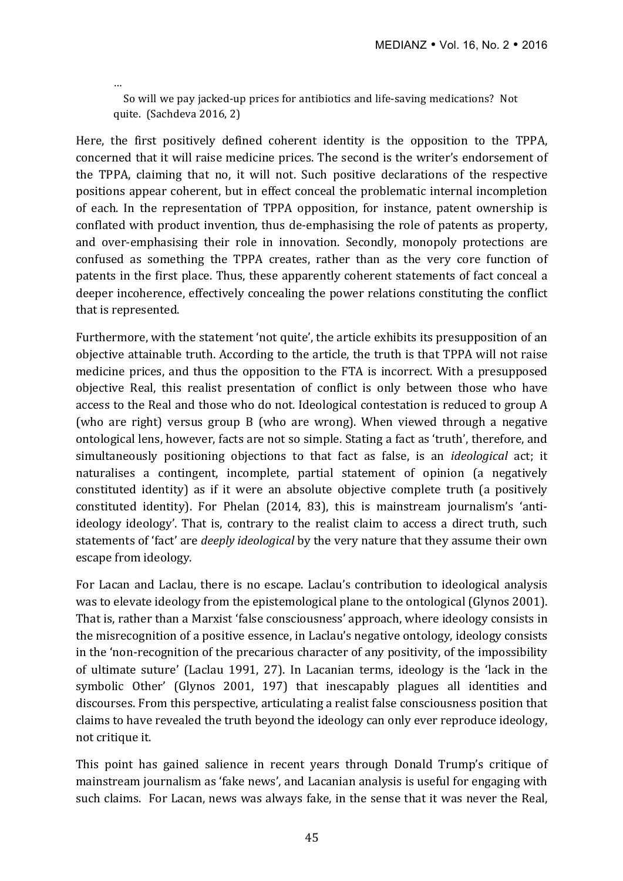So will we pay jacked-up prices for antibiotics and life-saving medications? Not quite. (Sachdeva 2016, 2)

…

Here, the first positively defined coherent identity is the opposition to the TPPA, concerned that it will raise medicine prices. The second is the writer's endorsement of the TPPA, claiming that no, it will not. Such positive declarations of the respective positions appear coherent, but in effect conceal the problematic internal incompletion of each. In the representation of TPPA opposition, for instance, patent ownership is conflated with product invention, thus de-emphasising the role of patents as property, and over-emphasising their role in innovation. Secondly, monopoly protections are confused as something the TPPA creates, rather than as the very core function of patents in the first place. Thus, these apparently coherent statements of fact conceal a deeper incoherence, effectively concealing the power relations constituting the conflict that is represented.

Furthermore, with the statement 'not quite', the article exhibits its presupposition of an objective attainable truth. According to the article, the truth is that TPPA will not raise medicine prices, and thus the opposition to the FTA is incorrect. With a presupposed objective Real, this realist presentation of conflict is only between those who have access to the Real and those who do not. Ideological contestation is reduced to group A (who are right) versus group B (who are wrong). When viewed through a negative ontological lens, however, facts are not so simple. Stating a fact as 'truth', therefore, and simultaneously positioning objections to that fact as false, is an *ideological* act; it naturalises a contingent, incomplete, partial statement of opinion (a negatively constituted identity) as if it were an absolute objective complete truth (a positively constituted identity). For Phelan (2014, 83), this is mainstream journalism's 'antiideology ideology'. That is, contrary to the realist claim to access a direct truth, such statements of 'fact' are *deeply ideological* by the very nature that they assume their own escape from ideology.

For Lacan and Laclau, there is no escape. Laclau's contribution to ideological analysis was to elevate ideology from the epistemological plane to the ontological (Glynos 2001). That is, rather than a Marxist 'false consciousness' approach, where ideology consists in the misrecognition of a positive essence, in Laclau's negative ontology, ideology consists in the 'non-recognition of the precarious character of any positivity, of the impossibility of ultimate suture' (Laclau 1991, 27). In Lacanian terms, ideology is the 'lack in the symbolic Other' (Glynos 2001, 197) that inescapably plagues all identities and discourses. From this perspective, articulating a realist false consciousness position that claims to have revealed the truth beyond the ideology can only ever reproduce ideology, not critique it.

This point has gained salience in recent years through Donald Trump's critique of mainstream journalism as 'fake news', and Lacanian analysis is useful for engaging with such claims. For Lacan, news was always fake, in the sense that it was never the Real,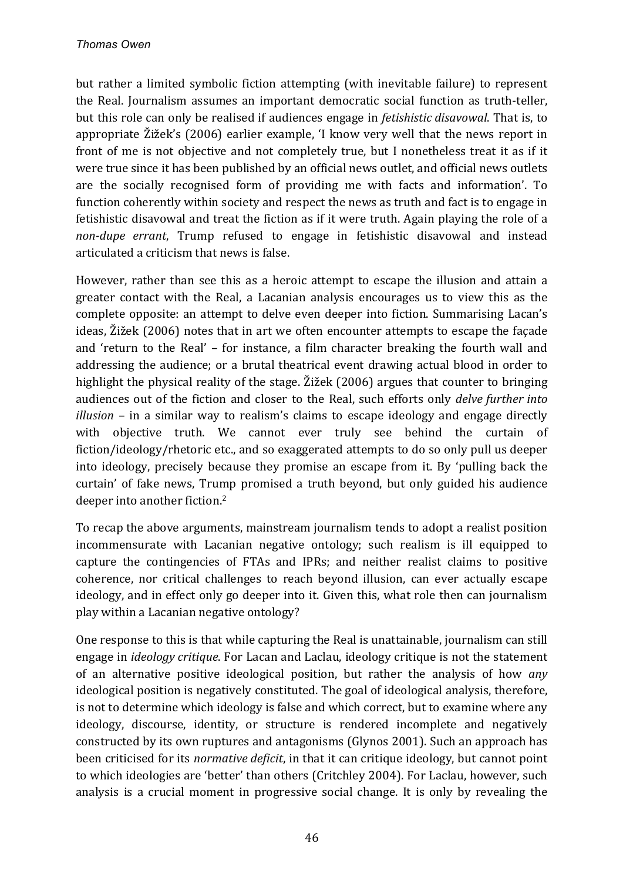but rather a limited symbolic fiction attempting (with inevitable failure) to represent the Real. Journalism assumes an important democratic social function as truth-teller, but this role can only be realised if audiences engage in *fetishistic disavowal*. That is, to appropriate Žižek's (2006) earlier example, 'I know very well that the news report in front of me is not objective and not completely true, but I nonetheless treat it as if it were true since it has been published by an official news outlet, and official news outlets are the socially recognised form of providing me with facts and information'. To function coherently within society and respect the news as truth and fact is to engage in fetishistic disavowal and treat the fiction as if it were truth. Again playing the role of a *non-dupe errant*, Trump refused to engage in fetishistic disavowal and instead articulated a criticism that news is false.

However, rather than see this as a heroic attempt to escape the illusion and attain a greater contact with the Real, a Lacanian analysis encourages us to view this as the complete opposite: an attempt to delve even deeper into fiction. Summarising Lacan's ideas, Žižek (2006) notes that in art we often encounter attempts to escape the façade and 'return to the Real' – for instance, a film character breaking the fourth wall and addressing the audience; or a brutal theatrical event drawing actual blood in order to highlight the physical reality of the stage. Žižek (2006) argues that counter to bringing audiences out of the fiction and closer to the Real, such efforts only *delve further into illusion* – in a similar way to realism's claims to escape ideology and engage directly with objective truth. We cannot ever truly see behind the curtain of fiction/ideology/rhetoric etc., and so exaggerated attempts to do so only pull us deeper into ideology, precisely because they promise an escape from it. By 'pulling back the curtain' of fake news, Trump promised a truth beyond, but only guided his audience deeper into another fiction.<sup>2</sup>

To recap the above arguments, mainstream journalism tends to adopt a realist position incommensurate with Lacanian negative ontology; such realism is ill equipped to capture the contingencies of FTAs and IPRs; and neither realist claims to positive coherence, nor critical challenges to reach beyond illusion, can ever actually escape ideology, and in effect only go deeper into it. Given this, what role then can journalism play within a Lacanian negative ontology?

One response to this is that while capturing the Real is unattainable, journalism can still engage in *ideology critique*. For Lacan and Laclau, ideology critique is not the statement of an alternative positive ideological position, but rather the analysis of how *any* ideological position is negatively constituted. The goal of ideological analysis, therefore, is not to determine which ideology is false and which correct, but to examine where any ideology, discourse, identity, or structure is rendered incomplete and negatively constructed by its own ruptures and antagonisms (Glynos 2001). Such an approach has been criticised for its *normative deficit*, in that it can critique ideology, but cannot point to which ideologies are 'better' than others (Critchley 2004). For Laclau, however, such analysis is a crucial moment in progressive social change. It is only by revealing the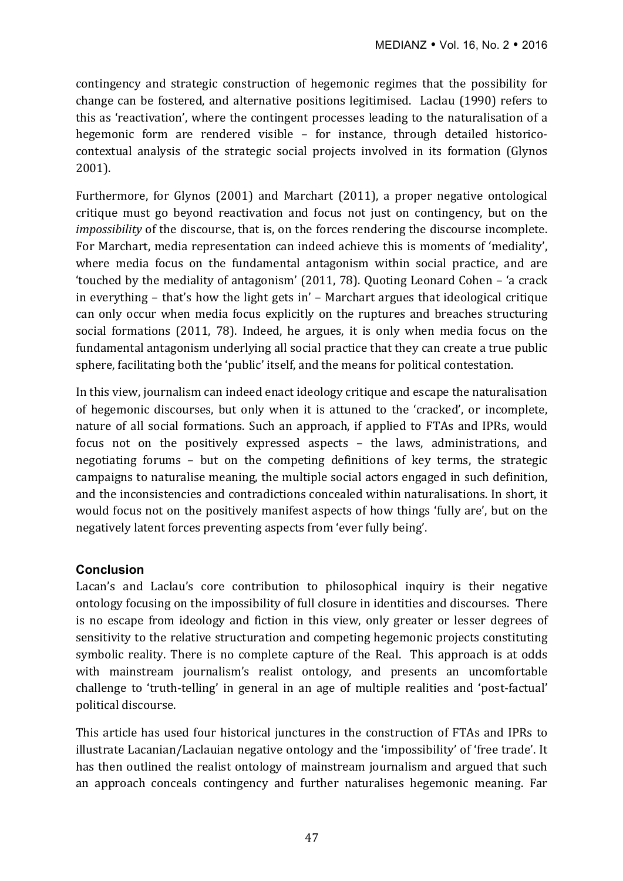contingency and strategic construction of hegemonic regimes that the possibility for change can be fostered, and alternative positions legitimised. Laclau (1990) refers to this as 'reactivation', where the contingent processes leading to the naturalisation of a hegemonic form are rendered visible – for instance, through detailed historicocontextual analysis of the strategic social projects involved in its formation (Glynos 2001). 

Furthermore, for Glynos  $(2001)$  and Marchart  $(2011)$ , a proper negative ontological critique must go beyond reactivation and focus not just on contingency, but on the *impossibility* of the discourse, that is, on the forces rendering the discourse incomplete. For Marchart, media representation can indeed achieve this is moments of 'mediality'. where media focus on the fundamental antagonism within social practice, and are 'touched by the mediality of antagonism'  $(2011, 78)$ . Quoting Leonard Cohen – 'a crack in everything  $-$  that's how the light gets in'  $-$  Marchart argues that ideological critique can only occur when media focus explicitly on the ruptures and breaches structuring social formations (2011, 78). Indeed, he argues, it is only when media focus on the fundamental antagonism underlying all social practice that they can create a true public sphere, facilitating both the 'public' itself, and the means for political contestation.

In this view, journalism can indeed enact ideology critique and escape the naturalisation of hegemonic discourses, but only when it is attuned to the 'cracked', or incomplete, nature of all social formations. Such an approach, if applied to FTAs and IPRs, would focus not on the positively expressed aspects – the laws, administrations, and negotiating forums  $-$  but on the competing definitions of key terms, the strategic campaigns to naturalise meaning, the multiple social actors engaged in such definition, and the inconsistencies and contradictions concealed within naturalisations. In short, it would focus not on the positively manifest aspects of how things 'fully are', but on the negatively latent forces preventing aspects from 'ever fully being'.

### **Conclusion**

Lacan's and Laclau's core contribution to philosophical inquiry is their negative ontology focusing on the impossibility of full closure in identities and discourses. There is no escape from ideology and fiction in this view, only greater or lesser degrees of sensitivity to the relative structuration and competing hegemonic projects constituting symbolic reality. There is no complete capture of the Real. This approach is at odds with mainstream journalism's realist ontology, and presents an uncomfortable challenge to 'truth-telling' in general in an age of multiple realities and 'post-factual' political discourse.

This article has used four historical junctures in the construction of FTAs and IPRs to illustrate Lacanian/Laclauian negative ontology and the 'impossibility' of 'free trade'. It has then outlined the realist ontology of mainstream journalism and argued that such an approach conceals contingency and further naturalises hegemonic meaning. Far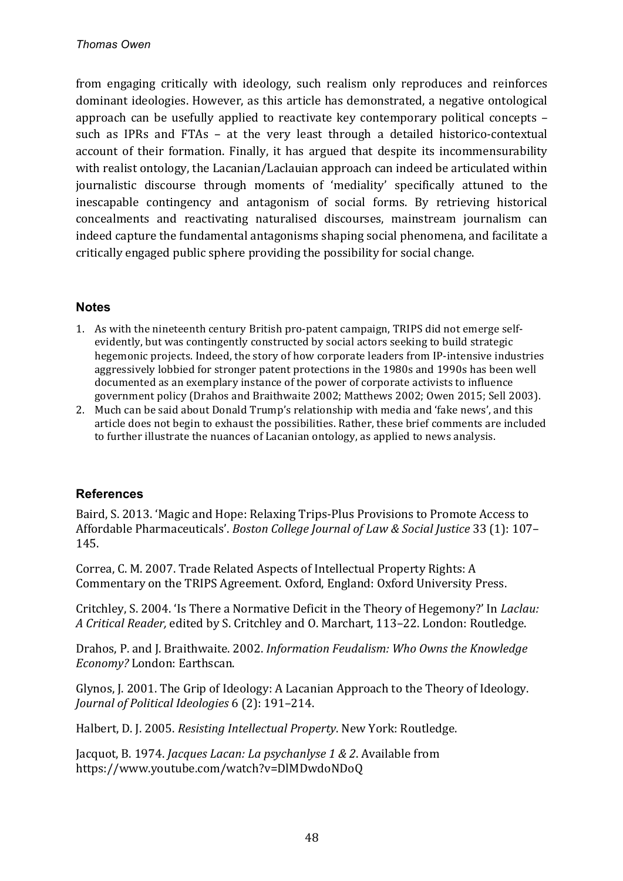from engaging critically with ideology, such realism only reproduces and reinforces dominant ideologies. However, as this article has demonstrated, a negative ontological approach can be usefully applied to reactivate key contemporary political concepts such as IPRs and FTAs – at the very least through a detailed historico-contextual account of their formation. Finally, it has argued that despite its incommensurability with realist ontology, the Lacanian/Laclauian approach can indeed be articulated within journalistic discourse through moments of 'mediality' specifically attuned to the inescapable contingency and antagonism of social forms. By retrieving historical concealments and reactivating naturalised discourses, mainstream journalism can indeed capture the fundamental antagonisms shaping social phenomena, and facilitate a critically engaged public sphere providing the possibility for social change.

#### **Notes**

- 1. As with the nineteenth century British pro-patent campaign, TRIPS did not emerge selfevidently, but was contingently constructed by social actors seeking to build strategic hegemonic projects. Indeed, the story of how corporate leaders from IP-intensive industries aggressively lobbied for stronger patent protections in the 1980s and 1990s has been well documented as an exemplary instance of the power of corporate activists to influence government policy (Drahos and Braithwaite 2002: Matthews 2002; Owen 2015; Sell 2003).
- 2. Much can be said about Donald Trump's relationship with media and 'fake news', and this article does not begin to exhaust the possibilities. Rather, these brief comments are included to further illustrate the nuances of Lacanian ontology, as applied to news analysis.

### **References**

Baird, S. 2013. 'Magic and Hope: Relaxing Trips-Plus Provisions to Promote Access to Affordable Pharmaceuticals'. *Boston College Journal of Law & Social Justice* 33 (1): 107– 145.

Correa, C. M. 2007. Trade Related Aspects of Intellectual Property Rights: A Commentary on the TRIPS Agreement. Oxford, England: Oxford University Press.

Critchley, S. 2004. 'Is There a Normative Deficit in the Theory of Hegemony?' In *Laclau: A Critical Reader,* edited by S. Critchley and O. Marchart, 113-22. London: Routledge.

Drahos, P. and J. Braithwaite. 2002. *Information Feudalism: Who Owns the Knowledge Economy?* London: Earthscan.

Glynos, J. 2001. The Grip of Ideology: A Lacanian Approach to the Theory of Ideology. *Journal of Political Ideologies* 6 (2): 191–214.

Halbert, D. J. 2005. *Resisting Intellectual Property*. New York: Routledge.

Jacquot, B. 1974. *Jacques Lacan: La psychanlyse 1 & 2*. Available from https://www.youtube.com/watch?v=DlMDwdoNDoQ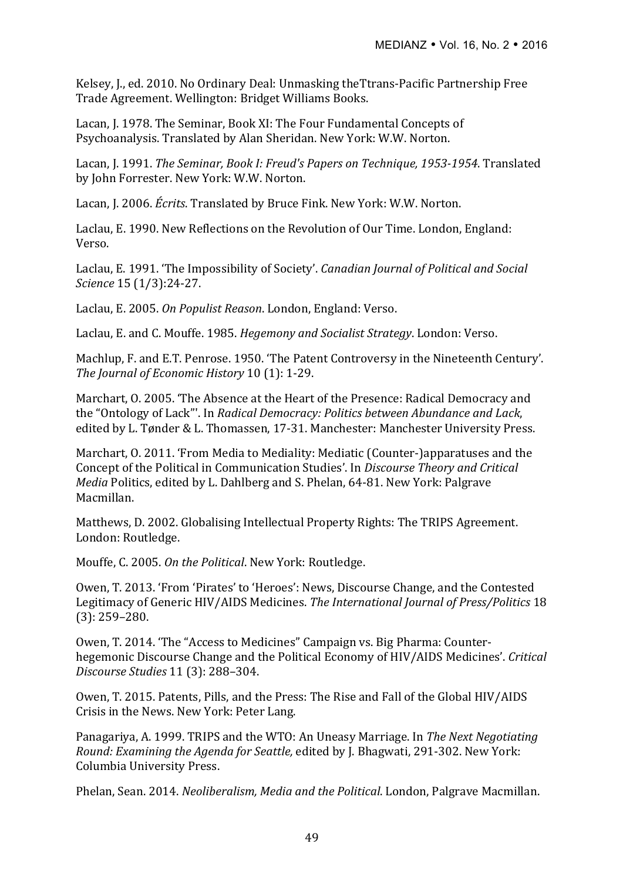Kelsey, J., ed. 2010. No Ordinary Deal: Unmasking theTtrans-Pacific Partnership Free Trade Agreement. Wellington: Bridget Williams Books.

Lacan, J. 1978. The Seminar, Book XI: The Four Fundamental Concepts of Psychoanalysis. Translated by Alan Sheridan. New York: W.W. Norton.

Lacan, J. 1991. *The Seminar, Book I: Freud's Papers on Technique, 1953-1954*. Translated by John Forrester. New York: W.W. Norton.

Lacan, J. 2006. *Écrits*. Translated by Bruce Fink. New York: W.W. Norton.

Laclau, E. 1990. New Reflections on the Revolution of Our Time. London, England: Verso.

Laclau, E. 1991. 'The Impossibility of Society'. *Canadian Journal of Political and Social Science* 15 (1/3):24-27.

Laclau, E. 2005. *On Populist Reason*, London, England: Verso.

Laclau, E. and C. Mouffe. 1985. *Hegemony and Socialist Strategy*. London: Verso.

Machlup, F. and E.T. Penrose. 1950. 'The Patent Controversy in the Nineteenth Century'. The *Journal of Economic History* 10 (1): 1-29.

Marchart, O. 2005. 'The Absence at the Heart of the Presence: Radical Democracy and the "Ontology of Lack"'. In *Radical Democracy: Politics between Abundance and Lack*, edited by L. Tønder & L. Thomassen, 17-31. Manchester: Manchester University Press.

Marchart, O. 2011. 'From Media to Mediality: Mediatic (Counter-)apparatuses and the Concept of the Political in Communication Studies'. In *Discourse Theory and Critical Media* Politics, edited by L. Dahlberg and S. Phelan, 64-81. New York: Palgrave Macmillan.

Matthews, D. 2002. Globalising Intellectual Property Rights: The TRIPS Agreement. London: Routledge.

Mouffe, C. 2005. On the Political. New York: Routledge.

Owen, T. 2013. 'From 'Pirates' to 'Heroes': News, Discourse Change, and the Contested Legitimacy of Generic HIV/AIDS Medicines. *The International Iournal of Press/Politics* 18  $(3): 259 - 280.$ 

Owen, T. 2014. 'The "Access to Medicines" Campaign vs. Big Pharma: Counterhegemonic Discourse Change and the Political Economy of HIV/AIDS Medicines'. *Critical Discourse Studies* 11 (3): 288–304.

Owen, T. 2015. Patents, Pills, and the Press: The Rise and Fall of the Global HIV/AIDS Crisis in the News. New York: Peter Lang.

Panagariya, A. 1999. TRIPS and the WTO: An Uneasy Marriage. In *The Next Negotiating Round: Examining the Agenda for Seattle, edited by I. Bhagwati, 291-302. New York:* Columbia University Press.

Phelan, Sean. 2014. *Neoliberalism, Media and the Political*. London, Palgrave Macmillan.